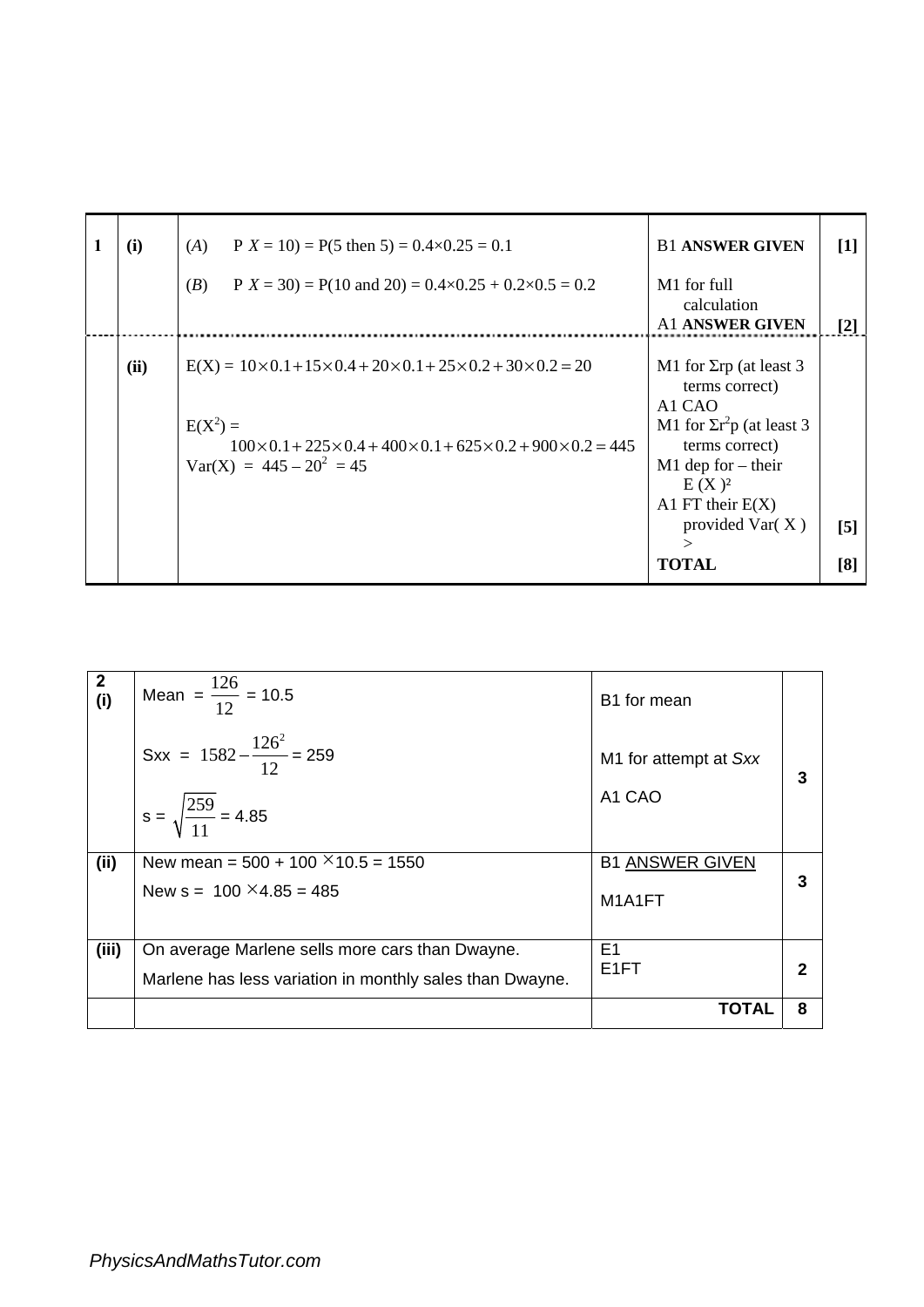| (i)  | $P X = 10$ = P(5 then 5) = 0.4×0.25 = 0.1<br>(A)                                                                                                                                                                                 | <b>B1 ANSWER GIVEN</b>                                                                                                                                                                                                                           | [1]               |
|------|----------------------------------------------------------------------------------------------------------------------------------------------------------------------------------------------------------------------------------|--------------------------------------------------------------------------------------------------------------------------------------------------------------------------------------------------------------------------------------------------|-------------------|
|      | (B)<br>$P X = 30$ = P(10 and 20) = 0.4×0.25 + 0.2×0.5 = 0.2                                                                                                                                                                      | M1 for full<br>calculation<br><b>A1 ANSWER GIVEN</b>                                                                                                                                                                                             | $\lceil 2 \rceil$ |
| (ii) | $E(X) = 10 \times 0.1 + 15 \times 0.4 + 20 \times 0.1 + 25 \times 0.2 + 30 \times 0.2 = 20$<br>$E(X^2) =$<br>$100\times 0.1 + 225\times 0.4 + 400\times 0.1 + 625\times 0.2 + 900\times 0.2 = 445$<br>$Var(X) = 445 - 20^2 = 45$ | M1 for $\Sigma$ rp (at least 3<br>terms correct)<br>A <sub>1</sub> C <sub>A</sub> O<br>M1 for $\sum r^2 p$ (at least 3<br>terms correct)<br>$M1$ dep for – their<br>$E(X)^2$<br>A1 FT their $E(X)$<br>provided $Var(X)$<br>$\gt$<br><b>TOTAL</b> | $[5]$<br>[8]      |

| $\boldsymbol{2}$<br>(i) | Mean = $\frac{126}{12}$ = 10.5                           | B <sub>1</sub> for mean |   |
|-------------------------|----------------------------------------------------------|-------------------------|---|
|                         | Sxx = $1582 - \frac{126^2}{12} = 259$                    | M1 for attempt at Sxx   |   |
|                         | $s = \sqrt{\frac{259}{11}} = 4.85$                       | A1 CAO                  |   |
| (ii)                    | New mean = $500 + 100 \times 10.5 = 1550$                | <b>B1 ANSWER GIVEN</b>  |   |
|                         | New $s = 100 \times 4.85 = 485$                          | M1A1FT                  | 3 |
| (iii)                   | On average Marlene sells more cars than Dwayne.          | E <sub>1</sub>          |   |
|                         | Marlene has less variation in monthly sales than Dwayne. | E <sub>1</sub> FT       |   |
|                         |                                                          | TOTAL                   | 8 |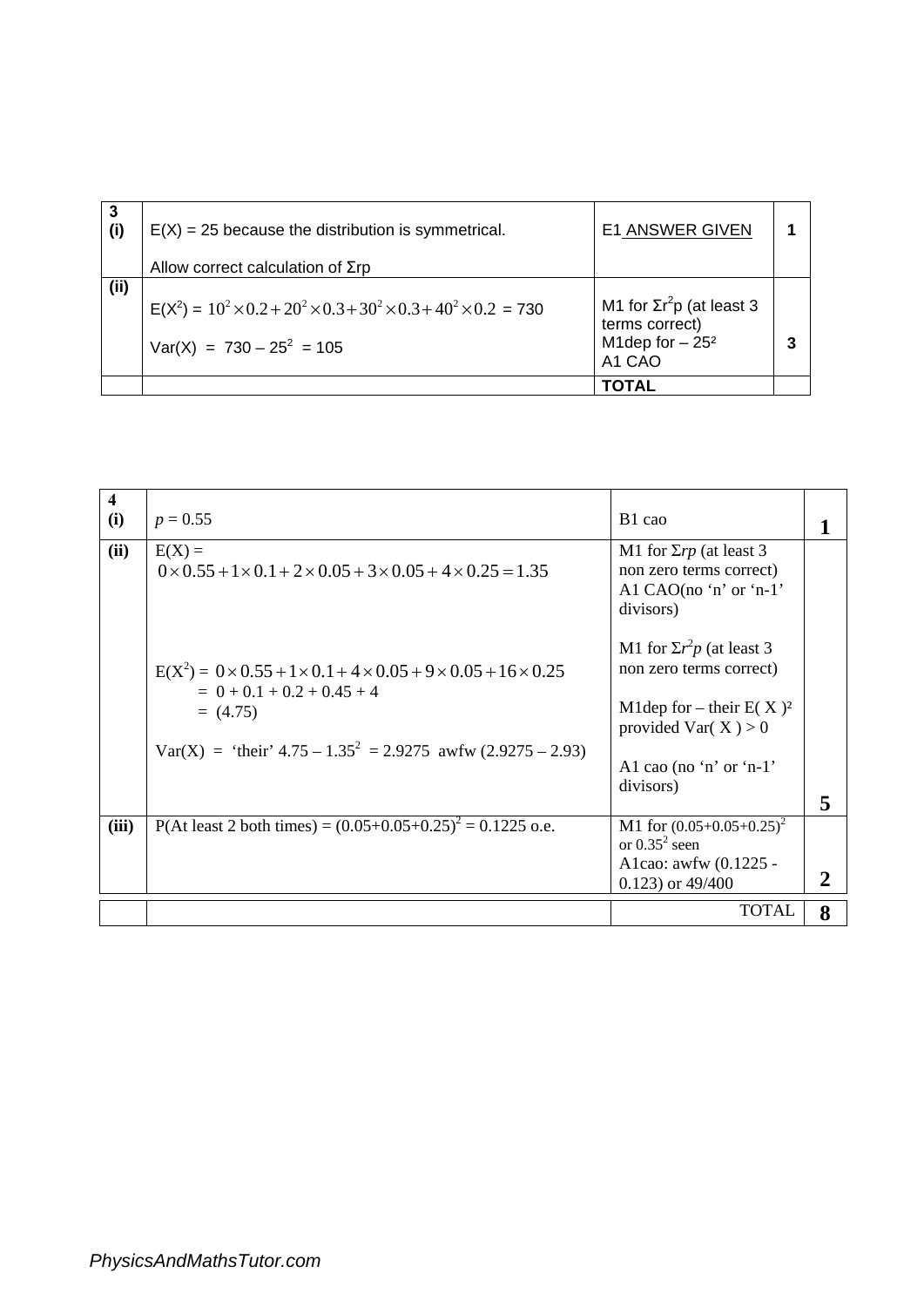| 3<br>(i) | $E(X) = 25$ because the distribution is symmetrical.<br>Allow correct calculation of $\Sigma$ rp                      | <b>E1 ANSWER GIVEN</b>                                                           |  |
|----------|-----------------------------------------------------------------------------------------------------------------------|----------------------------------------------------------------------------------|--|
| (i)      | $E(X^2) = 10^2 \times 0.2 + 20^2 \times 0.3 + 30^2 \times 0.3 + 40^2 \times 0.2 = 730$<br>$Var(X) = 730 - 25^2 = 105$ | M1 for $\Sigma r^2p$ (at least 3<br>terms correct)<br>M1dep for $-252$<br>A1 CAO |  |
|          |                                                                                                                       | ΤΟΤΑL                                                                            |  |

| 4<br>(i) | $p = 0.55$                                                                                                                                                                                                 | B1 cao                                                                                                                                                        |   |
|----------|------------------------------------------------------------------------------------------------------------------------------------------------------------------------------------------------------------|---------------------------------------------------------------------------------------------------------------------------------------------------------------|---|
| (ii)     | $E(X) =$<br>$0 \times 0.55 + 1 \times 0.1 + 2 \times 0.05 + 3 \times 0.05 + 4 \times 0.25 = 1.35$                                                                                                          | M1 for $\Sigma r p$ (at least 3<br>non zero terms correct)<br>Al CAO(no 'n' or 'n-1'<br>divisors)                                                             |   |
|          | $E(X^2) = 0 \times 0.55 + 1 \times 0.1 + 4 \times 0.05 + 9 \times 0.05 + 16 \times 0.25$<br>$= 0 + 0.1 + 0.2 + 0.45 + 4$<br>$= (4.75)$<br>Var(X) = 'their' $4.75 - 1.35^2 = 2.9275$ awfw $(2.9275 - 2.93)$ | M1 for $\Sigma r^2 p$ (at least 3<br>non zero terms correct)<br>M1dep for – their $E(X)^2$<br>provided Var( $X$ ) > 0<br>Al cao (no 'n' or 'n-1'<br>divisors) | 5 |
| (iii)    | P(At least 2 both times) = $(0.05+0.05+0.25)^2$ = 0.1225 o.e.                                                                                                                                              | M1 for $(0.05+0.05+0.25)^2$<br>or $0.35^2$ seen<br>A1cao: awfw (0.1225 -<br>$0.123$ ) or $49/400$                                                             |   |
|          |                                                                                                                                                                                                            | <b>TOTAL</b>                                                                                                                                                  | 8 |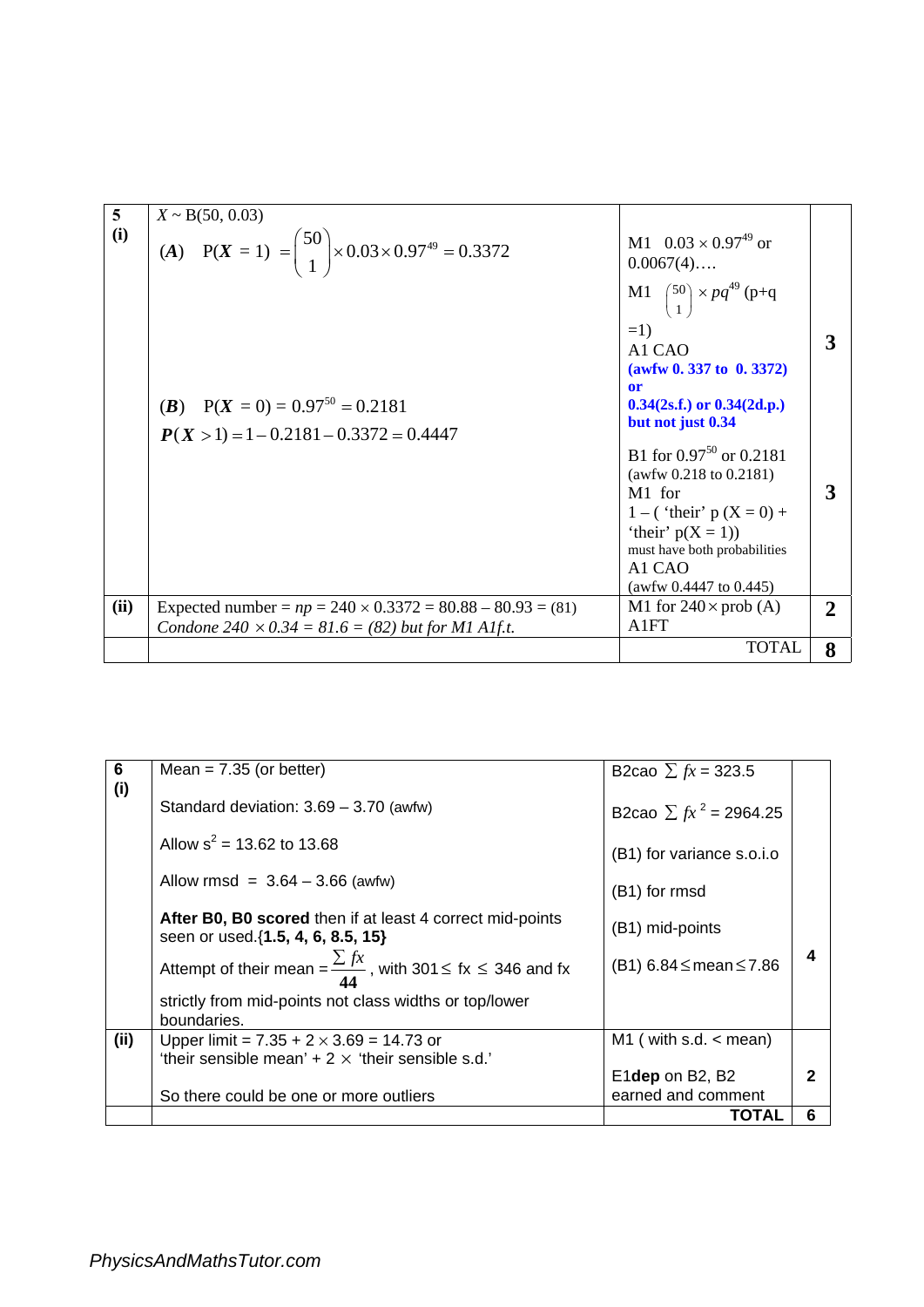| $5\overline{)}$ | $X \sim B(50, 0.03)$                                                  |                                                                                                                                                                                                                   |              |
|-----------------|-----------------------------------------------------------------------|-------------------------------------------------------------------------------------------------------------------------------------------------------------------------------------------------------------------|--------------|
| (i)             | (A) $P(X = 1) = {50 \choose 1} \times 0.03 \times 0.97^{49} = 0.3372$ | M1 $0.03 \times 0.97^{49}$ or<br>$0.0067(4)$                                                                                                                                                                      |              |
|                 |                                                                       | M1 $\binom{50}{1}$ × $pq^{49}$ (p+q<br>$=1$<br>A <sub>1</sub> C <sub>A</sub> O<br>(awfw 0.337 to 0.3372)<br>or                                                                                                    |              |
|                 | ( <i>B</i> ) $P(X = 0) = 0.97^{50} = 0.2181$                          | $0.34(2s.f.)$ or $0.34(2d.p.)$<br>but not just 0.34                                                                                                                                                               |              |
|                 | $P(X > 1) = 1 - 0.2181 - 0.3372 = 0.4447$                             |                                                                                                                                                                                                                   |              |
|                 |                                                                       | B1 for $0.97^{50}$ or $0.2181$<br>(awfw $0.218$ to $0.2181$ )<br>M <sub>1</sub> for<br>1 – ('their' $p(X = 0)$ +<br>'their' $p(X = 1)$ )<br>must have both probabilities<br>A1 CAO<br>(awfw $0.4447$ to $0.445$ ) | 3            |
| (ii)            | Expected number = $np = 240 \times 0.3372 = 80.88 - 80.93 = (81)$     | M1 for $240 \times prob(A)$                                                                                                                                                                                       | $\mathbf{2}$ |
|                 | Condone 240 $\times$ 0.34 = 81.6 = (82) but for M1 A1f.t.             | A1FT                                                                                                                                                                                                              |              |
|                 |                                                                       | <b>TOTAL</b>                                                                                                                                                                                                      | 8            |

| 6<br>(i) | Mean = $7.35$ (or better)                                                                       | B2cao $\sum fx = 323.5$               |              |
|----------|-------------------------------------------------------------------------------------------------|---------------------------------------|--------------|
|          | Standard deviation: $3.69 - 3.70$ (awfw)                                                        | B2cao $\sum fx^2 = 2964.25$           |              |
|          | Allow $s^2$ = 13.62 to 13.68                                                                    | (B1) for variance s.o.i.o             |              |
|          | Allow rmsd = $3.64 - 3.66$ (awfw)                                                               | (B1) for rmsd                         |              |
|          | After B0, B0 scored then if at least 4 correct mid-points<br>seen or used. {1.5, 4, 6, 8.5, 15} | (B1) mid-points                       |              |
|          | Attempt of their mean = $\frac{\sum fx}{44}$ , with 301 $\le$ fx $\le$ 346 and fx               | $(B1) 6.84 \leq mean \leq 7.86$       | 4            |
|          | strictly from mid-points not class widths or top/lower<br>boundaries.                           |                                       |              |
| (ii)     | Upper limit = $7.35 + 2 \times 3.69 = 14.73$ or                                                 | M1 (with s.d. $\lt$ mean)             |              |
|          | 'their sensible mean' $+2 \times$ 'their sensible s.d.'                                         |                                       | $\mathbf{2}$ |
|          | So there could be one or more outliers                                                          | E1dep on B2, B2<br>earned and comment |              |
|          |                                                                                                 | TOTAL                                 | 6            |